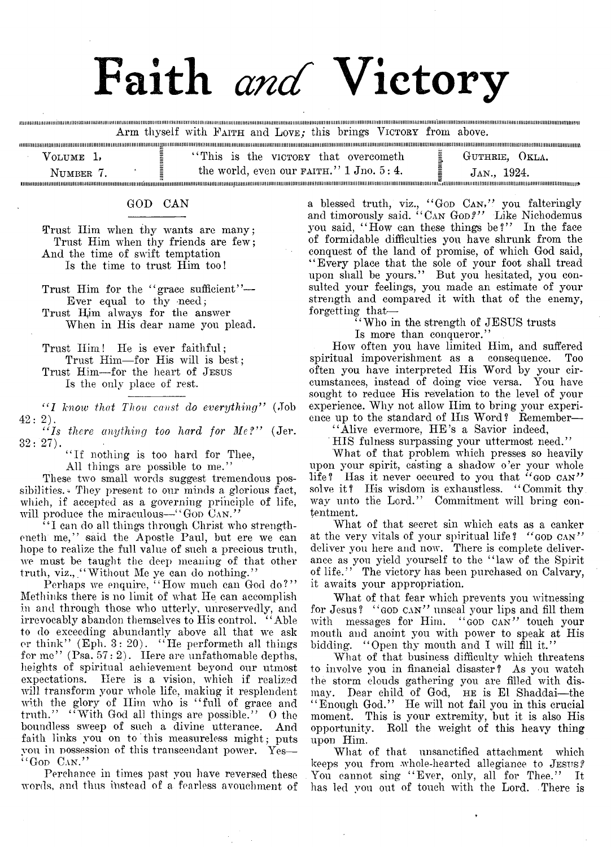# Faith *and* Victory

Arm thyself with **F aith** and **L ove;** this brings **V ictory** from above.

| VOLUME 1, | "This is the victory that overcometh"         | GUTHRIE, OKLA. |
|-----------|-----------------------------------------------|----------------|
| NIIMBER 1 | the world, even our $F_A$ AITH." 1 Jno. 5: 4. | JAN., 1924.    |
|           |                                               |                |

## GOD CAN

Trust Him when thy wants are many; Trust Him when thy friends are few; And the time of swift temptation Is the time to trust- Him too!

Trust Him for the "grace sufficient"-Ever equal to thy need;

Trust Him always for the answer When in His dear name you plead.

Trust Him! He is ever faithful; Trust Him— for His will is best;

Trust Him— for the heart of **Jesus** Is the only place of rest.

" 7 *know that Thou const do everything"* (Job  $42\colon 2)$  .

" 7s *there anything too hard for M e?"* (Jer.  $32\colon27$  ).

"If nothing is too hard for Thee,

All things are possible to me."

These two small words suggest tremendous possibilities. They present to our minds a glorious fact, which, if accepted as a governing principle of life, will produce the miraculous—"GOD CAN."

 $``I$  can do all things through Christ who strengtheneth me," said the Apostle Paul, but ere we can hope to realize the full value of such a precious truth, we must be taught the deep meaning of that other truth, viz., "Without Me ye can do nothing."

Perhaps we enquire, "How much can God do?" Methinks there is no limit of what He can accomplish in and through those who utterly, unreservedly, and irrevocably abandon themselves to His control. " Able to do exceeding abundantly above all that we ask or think" (Eph.  $3: 20$ ). "He performeth all things for me"  $(Psa. 57: 2)$ . Here are unfathomable depths, heights of spiritual achievement beyond our utmost expectations. Here is a vision, which if realized will transform your whole life, making it resplendent with the glory of Him who is "full of grace and truth." "With God all things are possible." O the boundless sweep of such a divine utterance. And faith links you on to this measureless might; puts vou in possession of this transcendant power. Yes— **" God Can."**

Perchance in times past you have reversed these words, and thus instead of a fearless avouchment of a blessed truth, viz., "God Can," you falteringly and timorously said. " Can Go*d? "* Like Nichodemus you said, "How can these things be?" In the face of formidable difficulties you have shrunk from the conquest of the land of promise, of which God said, " Every place that the sole of your foot shall tread upon shall be yours." But you hesitated, you consulted your feelings, you made an estimate of your strength and compared it with that of the enemy, forgetting that—

" Who in the, strength of JESUS trusts

Is more than conqueror."

How often you have limited Him, and suffered spiritual impoverishment as a consequence. Too often you have interpreted His Word by your circumstances, instead of doing vice versa. You have sought to reduce His revelation to the level of your experience. Why not allow Him to bring your experience up to the standard of His Word? Remember—

"Alive evermore, HE's a Savior indeed,

HIS fulness surpassing your uttermost need."

What of that problem which presses so heavily upon your spirit, casting a shadow o'er your whole life? Has it never oecured to you that **" god can"** solve it? His wisdom is exhaustless. " Commit thy way unto the Lord." Commitment will bring contentment.

What of that secret sin which eats as a canker at the very vitals of your spiritual life? **" god can"** deliver you here and now. There is complete deliverance as you yield yourself to the " law of the Spirit of life." The victory has been purchased on Calvary, it awaits your appropriation.

What of that fear which prevents you witnessing for Jesus? **" god can"** unseal your lips and fill them with messages for Him. **" god can "** touch your mouth and anoint you with power to speak at His bidding. "Open thy mouth and I will fill it."

What of that business difficulty which threatens to involve you in financial disaster ? As you watch the storm clouds gathering you are filled with dismay. Dear child of God, **he** is El Shaddai—the " Enough God." He will not fail you in this crucial moment. This is your extremity, but it is also His opportunity. Roll the weight of this heavy thing upon Him.

What of that unsanctified attachment which keeps you from whole-hearted allegiance to **Jesus** *f* You cannot sing "Ever, only, all for Thee." It has led you out of touch with the Lord. There is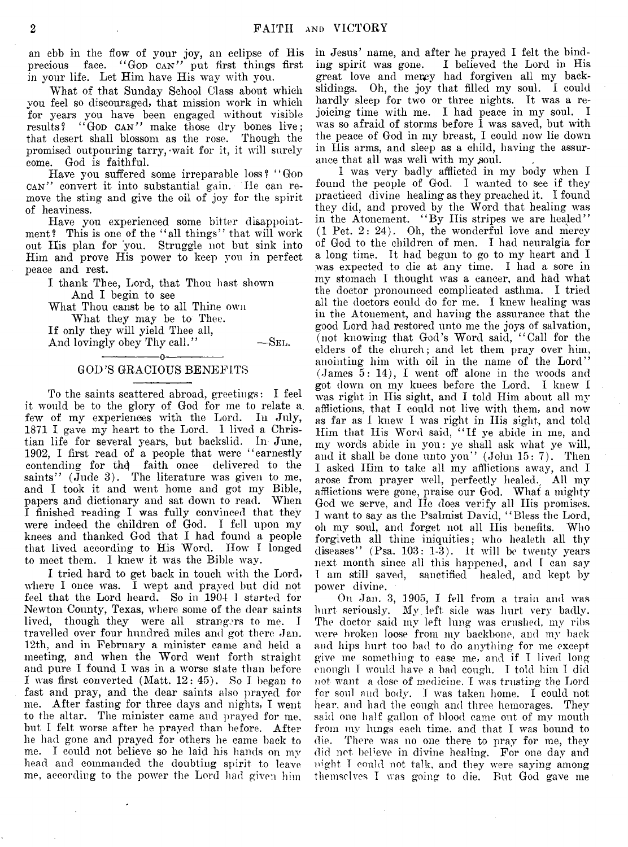an ebb in the flow of your joy, an eclipse of His precious face. "God CAN" put first things first in your life. Let Him have His way with you.

What of that Sunday School Class about which you feel so discouraged, that mission work in which for years you have been engaged without visible results? "Gop can" make those dry bones live; that desert shall blossom as the rose. Though the promised outpouring tarry, wait for it, it will surely come. God is faithful.

Have you suffered some irreparable loss? **" God can"** convert it into substantial gain. He can remove the sting and give the oil of joy for the spirit of heaviness.

Have you experienced some bitter disappointment? This is one of the "all things" that will work out His plan for you. Struggle not but sink into Him and prove His power to keep you in perfect peace and rest.

I thank Thee, Lord, that Thou hast shown And I begin to see

What Thou canst be to all Thine own What they may be to Thee.

If only they will yield Thee all, And lovingly obey Thy call." —SEL.

## ---------------- o----------------- GOD'S GRACIOUS BENEFITS

To the saints scattered abroad, greetings: I feel it would be to the glory of God for me to relate a. few of my experiences with the Lord. In July, 1871 I gave my heart to the Lord. 1 lived a Christian life for several years, but backslid. In June, 1902, I first read of a people that were "earnestly contending for the faith once delivered to the saints"  $(\text{Jude } 3)$ . The literature was given to me, and I took it and went home and got my Bible, papers and dictionary and sat down to read. When I finished reading I was fully convinced that they were indeed the children of God. I fell upon my knees and thanked God that I had found a people that lived according to His Word. How I longed to meet them. I knew it was the Bible way.

I tried hard to get back in touch with the Lord, where I once was. I wept and prayed but did not feel that the Lord heard. So in 1904 I started for Newton County, Texas, where some of the dear saints lived, though they were all strangers to me. I travelled over four hundred miles and got there Jan. 12th, and in February a minister came and held a meeting, and when the Word went forth straight and pure I found I was in a worse state than before I was first converted (Matt. 12: 45). So I began to fast and pray, and the dear saints also prayed for me. After fasting for three days and nights, I went to the altar. The minister came and prayed for me, but I felt worse after he prayed than before. After lie had gone and prayed for others he came back to me. I could not believe so he laid his hands on my head and commanded the doubting spirit to leave me, according to the power the Lord had given him

in Jesus' name, and after he prayed I felt the binding spirit was gone. I believed the Lord in His great love and mercy had forgiven all my backslidings. Oh, the joy that filled my soul. I could hardly sleep for two or three nights. It was a rejoicing time with me. I had peace in my soul. I was so afraid of storms before I was saved, but with the peace of God in my breast, I could now lie down in His arms, and sleep as a child, having the assurance that all was well with my soul.

1 was very badly afflicted in my body when I found the people of God. I wanted to see if they practiced divine healing as they preached it. I found they did, and proved by the Word that healing was in the Atonement. "By II is stripes we are healed" (1 Pet. 2: 24). Oh, the wonderful love and mercy of God to the children of men. I had neuralgia for a long time. It had begun to go to my heart and I was expected to die at any time. I had a sore in my stomach 1 thought was a cancer, and had what the doctor pronounced complicated asthma. I tried all the doctors could do for me. I knew healing was in the Atonement, and having the assurance that the good Lord had restored unto me the joys of salvation, (not knowing that God's Word said, " Call for the elders of the church; and let them pray over him, anointing him with oil in the name of the Lord" (James 5: 14), I went *off* alone in the woods and got down on my knees before the Lord. I knew I was right in His sight, and I told Him about all my afflictions, that I could not live with them, and now as far as I knew I was right in His sight, and told Him that His Word said, "If ye abide in me, and my words abide in you: ye shall ask what ye will, and it shall be done unto you" (John 15: 7). Then I asked Him to take all my afflictions away, and I arose from prayer well, perfectly healed.. All my afflictions were gone, praise our God. What a mighty God we serve, and He does verify all His promises. I want to say as the Psalmist David, " Bless the Lord, oh my soul, and forget not all His benefits. Who forgiveth all thine iniquities; who healeth all thy diseases"  $(Psa. 103: 1-3)$ . It will be twenty years next month since all this happened, and I can say 1 am still saved, sanctified healed, and kept by power divine.

On Jan. 3, 1905, I fell from a train and was hurt seriously. My left side was hurt very badly. The doctor said my left lung was crushed, my ribs were broken loose from my backbone, and my back and hips hurt too bad to do anything for me except give me something to ease me, and if I lived long enough I would have a bad cough. I told him I did not want a dose of medicine, I was trusting the Lord for soul and body. I was taken home. I could not hear, and had the cough and three hemorages. They said one half gallon of blood came out of my mouth from my lungs each time, and that I was bound to die. There was no one there to pray for me, they did not believe in divine healing. For one day and night 1 could not talk, and they were saying among themselves I was going to die. But God gave me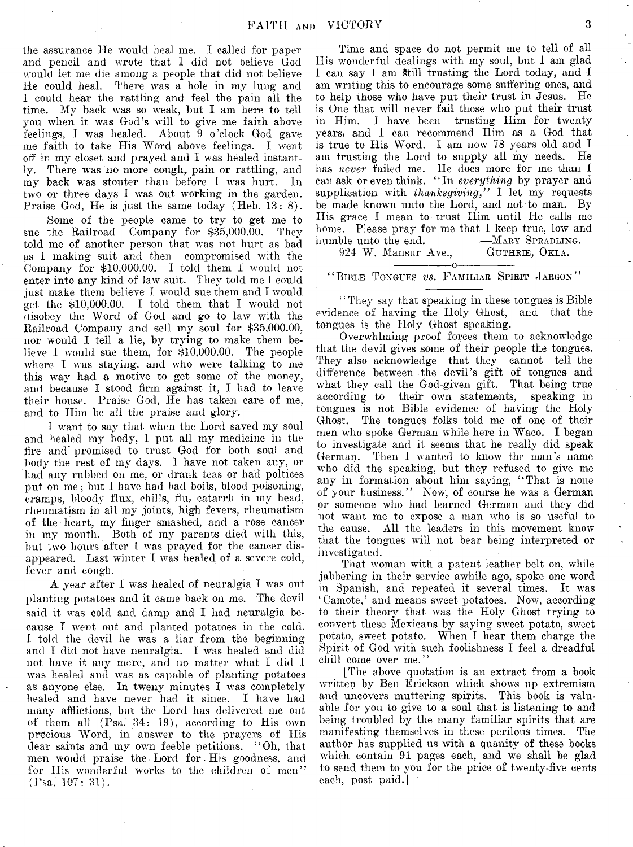the assurance He would heal me. I called for paper and pencil and wrote that I did not believe God would let me die among a people that did not believe He could heal. There was a hole in my lung and 1 could hear the rattling and feel the pain all the time. My back was so weak, but I am here to tell you when it was God's will to give me faith above feelings, I was healed. About 9 o'clock God gave me faith to take His Word above feelings. I went off in my closet and prayed and I was healed instantly. There was no more cough, pain or rattling, and my back was stouter than before I was hurt. In two or three days I was out working in the garden. Praise God, He is just the same today (Heb. 13: 8).

Some of the people came to try to get me to sue the Railroad Company for \$35,000.00. They told me of another person that was not hurt as bad as I making suit and then compromised with the Company for \$10,000.00. I told them 1 would not enter into any kind of law suit. They told me I could just make them believe I would sue them and I would get the  $$10,000.00$ . I told them that I would not disobey the Word of God and go to law with the Railroad Company and sell my soul for \$35,000.00, nor would I tell a lie, by trying to make them believe I would sue them, for \$10,000.00. The people where I was staying, and who were talking to me this way had a motive to get some of the money, and because I stood firm against it, I had to leave their house. Praise God, He has taken care of me, and to Him be all the praise and glory.

1 want to say that when the Lord saved my soul and healed my body, I put all my medicine in the fire and' promised to trust God for both soul and body the rest of my days. I have not taken any, or had any rubbed on me, or drank teas or had poltices put on me; but I have had bad boils, blood poisoning, cramps, bloody flux, chills, flu, catarrh in my head, rheumatism in all my joints, high fevers, rheumatism of the heart, my finger smashed, and a rose cancer in my mouth. Both of my parents died with this, but two hours after I was prayed for the cancer disappeared. Last winter I was healed of a severe cold, fever and cough.

A year after I was healed of neuralgia I was out planting potatoes and it came back on me. The devil said it was cold and damp and I had neuralgia because I went out and planted potatoes in the cold. I told the devil he was a liar from the beginning and I did not have neuralgia. I was healed and did not have it any more, and no matter what I did I was healed and was as capable of planting potatoes as anyone else. In tweny minutes I was completely healed and have never had it since. I have had many afflictions, but the Lord has delivered me out of them all (Psa. 34: 19), according to His own precious Word, in answer to the prayers of His dear saints and my own feeble petitions. " Oh, that men would praise the Lord for His goodness, and for His wonderful works to the children of men" (Psa. 107: 31).

Time and space do not permit me to tell of all Ills wonderful dealings with my soul, but I am glad I can say I am Still trusting the Lord today, and I am writing this to encourage some suffering ones, and to help those who have put their trust in Jesus. He is One that will never fail those who put their trust in Him. I have been trusting Him for twenty years, and I can recommend Him as a God that is true to His Word. I am now 78 years old and I am trusting the Lord to supply all my needs. He has *never* failed me. He does more for me than I can ask or even think. "In *everything* by prayer and supplication with *thanksgiving*," I let my requests be made known unto the Lord, and not to man. By His grace I mean to trust Him until He calls me home. Please pray for me that I keep true, low and humble unto the end. ——MARY SPRADLIN<br>924 W. Mansur Ave., GUTHRIE, OKLA.

924 **W . Mansur Ave., Guthrie, Okla.**  $\begin{array}{cccccccccc} -\text{\color{red}-}\text{\color{red}-}\text{\color{red}-}\text{\color{red}-}\text{\color{red}-}\text{\color{red}-}\text{\color{red}-}\text{\color{red}-}\text{\color{red}-}\text{\color{red}-}\text{\color{red}-}\text{\color{red}-}\text{\color{red}-}\text{\color{red}-}\text{\color{red}-}\text{\color{red}-}\text{\color{red}-}\text{\color{red}-}\text{\color{red}-}\text{\color{red}-}\text{\color{red}-}\text{\color{red}-}\text{\color{red}-}\text{\color{red}-}\text{\color{red}-}\text{\color{red}-}\text{\color{red}-}\text{\color{red}-}\text{\color{red}-}\text{\color{red}-$ 

## **" Bible Tongues** *vs.* **F amiliar Spirit Jargon"**

"They say that speaking in these tongues is Bible" evidence of having the Holy Ghost, and that the tongues is the Holy Ghost speaking.

Overwhlming proof forces them to acknowledge that the devil gives some of their people the tongues. They also acknowledge that they cannot tell the difference between the devil's gift of tongues and what they call the God-given gift. That being true according to their own statements, speaking in tongues is not Bible evidence of having the Holy Ghost. The tongues folks told me of one of their men who spoke German while here in Waco. I began to investigate and it seems that he really did speak German. Then I wanted to know the man's name who did the speaking, but they refused to give me any in formation about him saying, "That is none of your business." Now, of course he was a German or someone who had learned German and they did not want me to expose a man who is so useful to the cause. All the leaders in this movement know that the tongues will not bear being interpreted or investigated.

That woman with a patent leather belt on, while jabbering in their service awhile ago, spoke one word in Spanish, and repeated it several times. It was 4 Camote,? and means sweet potatoes. Now, according to their theory that was the Holy Ghost trying to convert these Mexicans by saying sweet potato, sweet potato, sweet potato. When I hear them charge the Spirit of God with such foolishness I feel a dreadful chill come over me."

[The above quotation is an extract from a book written by Ben Erickson which shows up extremism and uncovers muttering spirits. This book is valuable for you to give to a soul that is listening to and being troubled by the many familiar spirits that are manifesting themselves in these perilous times. The author has supplied us with a quanity of these books which contain 91 pages each, and we shall be glad to send them to you for the price of twenty-five cents each, post paid.]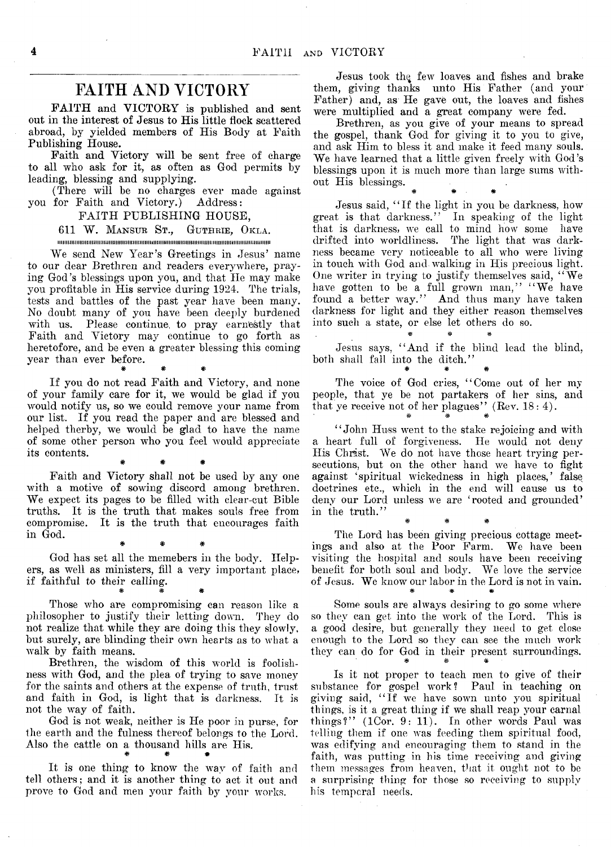# **FAITH AND VICTORY**

FAITH and VICTORY is published and sent out in the interest of Jesus to His little flock scattered abroad, by yielded members of His Body at Faith Publishing House.

Faith and Victory will be sent free of charge to all who ask for it, as often as God permits by leading, blessing and supplying.

(There will be no charges ever made against you for Faith and Victory.) Address:

### FAITH PUBLISHING HOUSE,

611 W. **Mansur St., Guthrie, Okla.**

iiiiiiiiiiiiimmimiiiiiiiiiiimimimimiiiiiiiimiiiiiiiiiiiimimiiiiiiiiimiimmiiiiiiiiiiiiiiiiiumiiii

We send New Year's Greetings in Jesus' name to our dear Brethren and readers everywhere, praying God's blessings upon you, and that He may make you profitable in His service during 1924. The trials, tests and battles of the past year have been many. No doubt many of you have been deeply burdened with us. Please continue, to pray earnestly that Faith and Victory may continue to go forth as heretofore, and be even a greater blessing this coming year than ever before. # # #

If you do not read Faith and Victory, and none of your family care for it, we would be glad if you would notify us, so we could remove your name from our list. If you read the paper and are blessed and helped therby, we would be glad to have the name of some other person who you feel would appreciate its contents.

Faith and Victory shall not be used by any one with a motive of sowing discord among brethren. We expect its pages to be filled with clear-cut Bible truths. It is the truth that makes souls free from compromise. It is the truth that encourages faith in God.

\* # \*

God has set all the memebers in the body. Helpers, as well as ministers, fill a very important place, if faithful to their calling. \* # #

\* # #

Those who are compromising can reason like a philosopher to justify their letting down. They do not realize that while they are doing this they slowly, but surely, are blinding their own hearts as to what a walk by faith means.

Brethren, the wisdom of this world is foolishness with God, and the plea of trying to save money for the saints and others at the expense of truth, trust and faith in God, is light that is darkness. It is not the way of faith.

God is not weak, neither is He poor in purse, for the earth and the fulness thereof belongs to the Lord. Also the cattle on a thousand hills are His. # # #

It is one thing to know the wav of faith and tell others; and it is another thing to act it out and prove to God and men your faith by your works.

Jesus took the few loaves and fishes and brake them, giving thanks unto His Father (and your Father) and, as He gave out, the loaves and fishes were multiplied and a great company were fed.

Brethren, as you give of your means to spread the gospel, thank God for giving it to you to give, and ask Him to bless it and make it feed many souls. We have learned that a little given freely with God's blessings upon it is much more than large sums without His blessings.

Jesus said, "If the light in you be darkness, how great is that darkness." In speaking of the light that is darkness, we call to mind how some have drifted into worldliness. The light that was darkness became very noticeable to all who were living in touch with God and walking in His precious light. One writer in trying to justify themselves said, "We have gotten to be a full grown man," "We have found a better way." And thus many have taken darkness for light and they either reason themselves into such a state, or else let others do so.

# # \* Jesus says, "And if the blind lead the blind, both shall fall into the ditch." \* \* \* \* \*

The voice of God cries, "Come out of her my people, that ye be not partakers of her sins, and that ye receive not of her plagues'' (Rev.  $18:4$ ).

"John Huss went to the stake rejoicing and with a heart full of forgiveness. He would not deny His Christ. We do not have those heart trying persecutions, but on the other hand we have to fight against 'spiritual wickedness in high places,' false doctrines etc., which in the end will cause us to deny our Lord unless we are 'rooted and grounded' in the truth."

The Lord has been giving precious cottage meetings and also at the Poor Farm. We have been visiting the hospital and souls have been receiving benefit for both soul and body. We love the service of Jesus. We know our labor in the Lord is not in vain. \* # \*

\* \* #

Some souls are always desiring to go some where so they can get into the work of the Lord. This is a good desire, but generally they need to get close enough to the Lord so they can see the much work they can do for God in their present surroundings.

Is it not proper to teach men to give of their substance for gospel work? Paul in teaching on giving said, "If we have sown unto you spiritual things, is it a great thing if we shall reap your carnal things?" (ICor. 9: 11). In other words Paul was telling them if one was feeding them spiritual food, was edifying and encouraging them to stand in the faith, was putting in his time receiving and giving them messages from heaven, that it ought not to be a surprising thing for those so receiving to supply his temporal needs.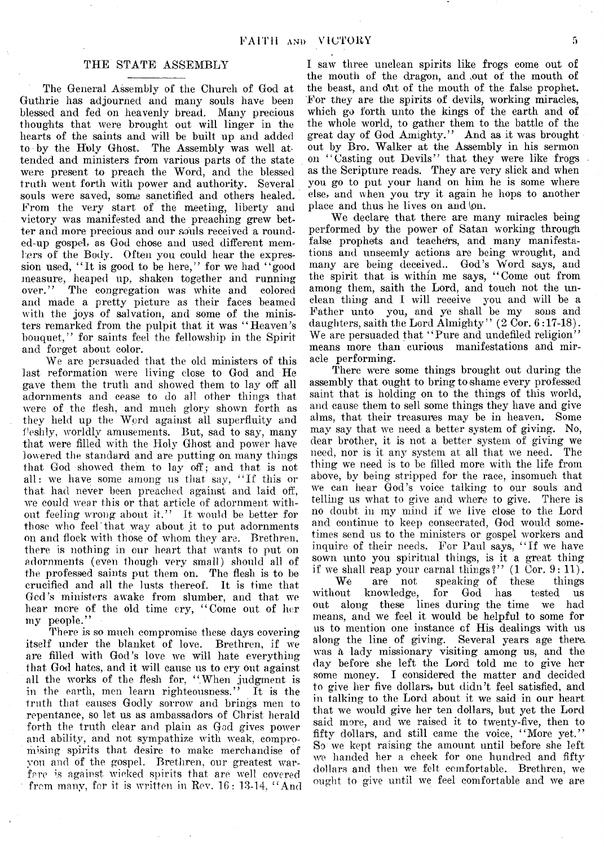#### THE STATE ASSEMBLY

The General Assembly of the Church of God at Guthrie has adjourned and many souls have been blessed and fed on heavenly bread. Many precious thoughts that were brought out will linger in the hearts of the saints and will be built up and added to by the Holy Ghost. The Assembly was well attended and ministers from various parts of the state were present to preach the Word, and the blessed truth went forth with power and authority. Several souls were saved, some sanctified and others healed. From the very start of the meeting, liberty and victory was manifested and the preaching grew better and more precious and our souls received a rounded-up gospel, as God chose and used different members of the Body. Often you could hear the expression used, "It is good to be here," for we had "good measure, heaped up, shaken together and running<br>over." The congregation was white and colored The congregation was white and colored and made a pretty picture as their faces beamed with the joys of salvation, and some of the ministers remarked from the pulpit that it was "Heaven's bouquet," for saints feel the fellowship in the Spirit and forget about color.

We are persuaded that the old ministers of this last reformation were living close to God and He gave them the truth and showed them to lay off all adornments and cease to do all other things that were of the flesh, and much glory shown forth as they held up the Word against all superfluity and fleshly, worldly amusements. But, sad to say, many that were filled with the Holy Ghost and power have lowered the standard and are putting on many things that God showed them to lay off; and that is not all: we have some among us that say, " If this or that had never been preached against and laid off, we could wear this or that article of adornment without feeling wrong about it." It would be better for those who feel'that way about it to put adornments on and flock with those of whom they are. Brethren, there is nothing in our heart that wants to put on adornments (even though very small) should all of the professed saints put them on. The flesh is to be crucified and all the lusts thereof. It is time that Ged's ministers awake from slumber, and that we hear more of the old time cry, " Come out of her my people."

There is so much compromise these days covering itself under the blanket of love. Brethren, if we are filled with God's love we will hate everything that God hates, and it will cause us to cry out against all the works of the flesh for, "When judgment is in the earth, men learn righteousness." It is the truth that causes Godly sorrow and brings men to repentance, so let us as ambassadors of Christ herald forth the truth clear and plain as God gives power and ability, and not sympathize with weak, compromising spirits that desire to make merchandise of you and of the gospel. Brethren, our greatest warfare is against wicked spirits that are well covered from many, for it is written in Rev.  $16: 13.14$ , "And

I saw three unclean spirits like frogs come out of the mouth of the dragon, and ,out of the mouth of the beast, and olit of the mouth of the false prophet. For they are the spirits of devils, working miracles, which go forth unto the kings of the earth and of the whole world, to gather them to the battle of the great day of God Amighty." And as it was brought out by Bro. Walker at the Assembly in his sermon on "Casting out Devils" that they were like frogs as the Scripture reads. They are very slick and when you go to put your hand on him he is some where else, and when you try it again he hops to another place and thus he lives on and \on.

We declare that there are many miracles being performed by the power of Satan working through false prophets and teachers, and many manifestations and unseemly actions are being wrought, and many are being deceived.. God's Word says, and the spirit that is within me says, " Come out from among them, saith the Lord, and touch not the unclean thing and I will receive you and will be a Father unto you, and ye shall be my sons and daughters, saith the Lord Almighty" (2 Cor. 6:17-18). We are persuaded that "Pure and undefiled religion" means more than curious manifestations and miracle performing.

There were some things brought out during the assembly that ought to bring to shame every professed saint that is holding on to the things of this world, and cause them to sell some things they have and give alms, that their treasures may be in heaven. Some may say that we need a better system of giving. No, dear brother, it is not a better system of giving we need, nor is it any system at all that we need. The need, nor is it any system at all that we need. thing we need is to be filled more with the life from above, by being stripped for the race, insomuch that we can hear God's voice talking to our souls and telling us what to give and where to give. There is no doubt in my mind if we live close to the Lord and continue to keep consecrated, God would sometimes send us to the ministers or gospel workers and inquire of their needs. For Paul says, " If we have sown unto you spiritual things, is it a great thing if we shall reap your carnal things?"  $(1 \text{ Cor. } 9: 11)$ .

We are not speaking of these things<br>out knowledge, for God has tested us without knowledge, for God has tested us out along these lines during the time we had means, and we feel it would be helpful to some for us to mention one instance of His dealings with us along the line of giving. Several years age there, was *k* lady missionary visiting among us, and the day before she left the Lord told me to give her some money. I considered the matter and decided to give her five dollars, but didn't feel satisfied, and in talking to the Lord about it we said in our heart that we would give her ten dollars, but yet the Lord said more, and we raised it to twenty-five, then to fifty dollars, and still came the voice, "More yet." So we kept raising the amount until before she left we handed her a check for one hundred and fifty dollars and then we felt comfortable. Brethren, we ought to give until we feel comfortable and we are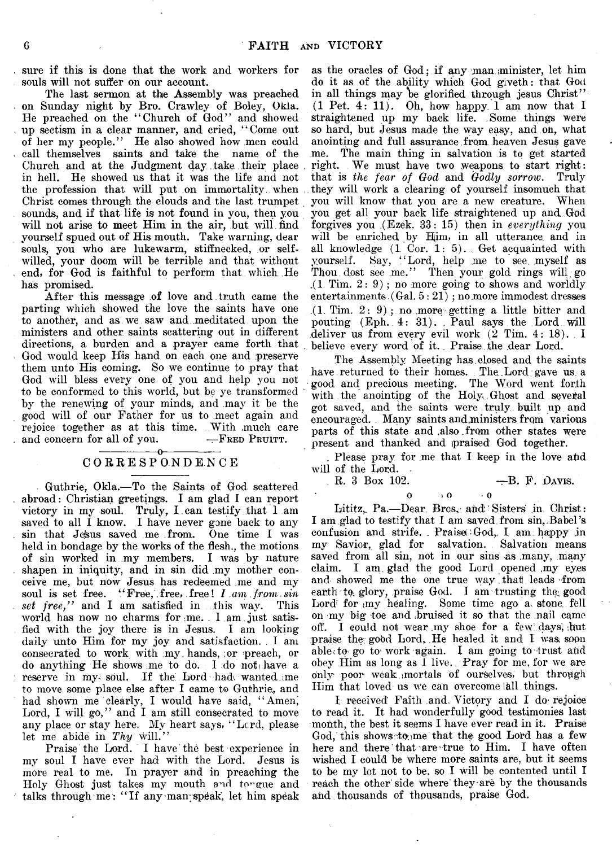sure if this is done that the work and workers for souls will not suffer on our account.

The last sermon at the Assembly was preached on Sunday night by Bro. Crawley of Boley, Okia. He preached on the "Church of God" and showed up sectism in a clear manner, and cried, " Come out of her my people." He also showed how men could call themselves saints and take the name of the Church and at the Judgment day take their place. in hell. He showed us that it was the life and not the profession that will put on immortality, when Christ comes through the clouds and the last trumpet sounds, and if that life is not found in you, then you will not arise to meet Him in the air, but will find yourself spued out of His mouth. Take warning, dear souls, you who are lukewarm, stiffnecked, or selfwilled, your doom will be terrible and that without end, for God is faithful to perform that which He has promised.

After this message of love and truth came the parting which showed the love the saints have one to another, and as we saw and meditated upon the ministers and other saints scattering out in different directions, a burden and a prayer came forth that God would keep His hand on each one and preserve them unto His coming. So we continue to pray that God will bless every one of you and help you not to be conformed to this world, but be ye transformed by the renewing of your minds, and .may it be the good will of our Father for us to .meet again and rejoice together as at this time. . With much care and concern for all of you.  $\qquad$ —FRED PRUITT.

#### -----------------o----------------- C ORRESPONDENCE

Guthrie, Okla.— To the Saints of God, scattered abroad: Christian greetings. I am glad I can report victory in my soul. Truly, I. can testify that I am saved to all I know. I have never gone back to any sin that Jesus saved me from. One time I was held in bondage by the works of the flesh., the motions of sin worked in .my members. I was by nature shapen in iniquity, and in sin did my mother conceive me, but now Jesus has redeemed me and my soul is set free. " Free, free, free I *I am from sin* set free," and I am satisfied in this way. This world has now no charms for ;me. . 1 am just satisfied with the joy there is in Jesus. I am looking daily unto Him for my joy and satisfaction. . I am consecrated to work with my. hands, ;or -preach, or do anything He shows me to do. I do not have a reserve in my soul. If the Lord hadv wanted me to move some place else after I came to Guthrie;, and had shown me clearly, I would have said, "Amen, Lord, I will go," and I am still consecrated to move any place or stay here. My heart says, " Lcrd, please let me abide in Thy will."

Praise the Lord. I have the best experience in my soul I have ever had with the Lord. Jesus is more real to me. In prayer and in preaching the Holy Ghost just takes my mouth and tongue and talks through me: "If any man speak, let him speak

as the oracles of God; if any man minister, let him do it as of the ability which God giveth: that God in all things may be glorified through jesus Christ" (1 Pet. 4: 11). Oh, how happy. 1 am now that I straightened up my back life. Some things were so hard, but jesus made the way easy, and on, what anointing and full assurance from heaven Jesus gave<br>me. The main thing in salvation is to get started The main thing in salvation is to get started right. We must have two weapons to start right: that is *the fear of God* and *Godly sorrow*. Truly they will work a clearing of yourself insomuch that you will know that you are a new creature. When you get all your back life straightened up and God forgives you (Ezek. 33: 15) then in *everything* you will be enriched by Him, in all utterance and in all knowledge (I Cor. 1: 5). . Get acquainted with yourself. Say, " Lord, help me to see. myself as Thou dost see me." Then your gold rings will go  $(1$  Tim.  $2: 9)$ ; no more going to shows and worldly entertainments, (Gal. 5: 21) ; no more immodest dresses  $(1.$  Tim.  $2: 9)$ ; no more getting a little bitter and pouting (Eph. 4: 31). . Paul says the Lord will deliver us from every evil work **(2** Tim. 4: 18). . I believe every word of it. Praise the dear Lord.

The Assembly Meeting has.closed and the saints have returned to their homes. The Lord gave us a good and precious meeting. The Word went forth with the anointing of the Holy Ghost and several got saved, and the saints were truly built up and encouraged. Many saints and ministers from various parts of this state and .also .from other states were present and thanked and praised God together.

. Please pray for me that I keep in the love ahd will of the Lord.

**R.** 3 Box 102.  $\rightarrow$  B. F. DAVIS.

o  $\overline{0}$   $\rightarrow$  0

Lititz, Pa.—Dear. Bros, and Sisters in Christ: I am.glad to testify that I am saved from sin,.Babel's confusion and strife. Praise God, I am happy in my Savior, glad for salvation. Salvation means saved from all sin, not in our sins as many, many claim. I am glad the good Lord opened my eyes and showed me the one true way that leads from earth to glory, praise God. I am trusting the good Lord for my healing. Some time ago a stone fell on my big toe and\bruised it so that the .nail came off. I could not wear my shoe for a few days, but praise the good Lord, He healed it and I was soon able (to go to work again. I am going to trust and obey Him as long as I live. Pray for me, for we are only poor weak, mortals of ourselves, but through Him that loved us we can overcome 'all things.

1 received Faith and, Victory and I do- rejoice to read it. It had wonderfully good testimonies last month, the best it seems I have ever read in it. Praise God, this shows to me that the good Lord has a few here and there that are'true to Him. I have often wished I could be where more saints are, but it seems to be my lot not to be, so I will be contented until I reach the other side where they are by the thousands and thousands of thousands, praise God.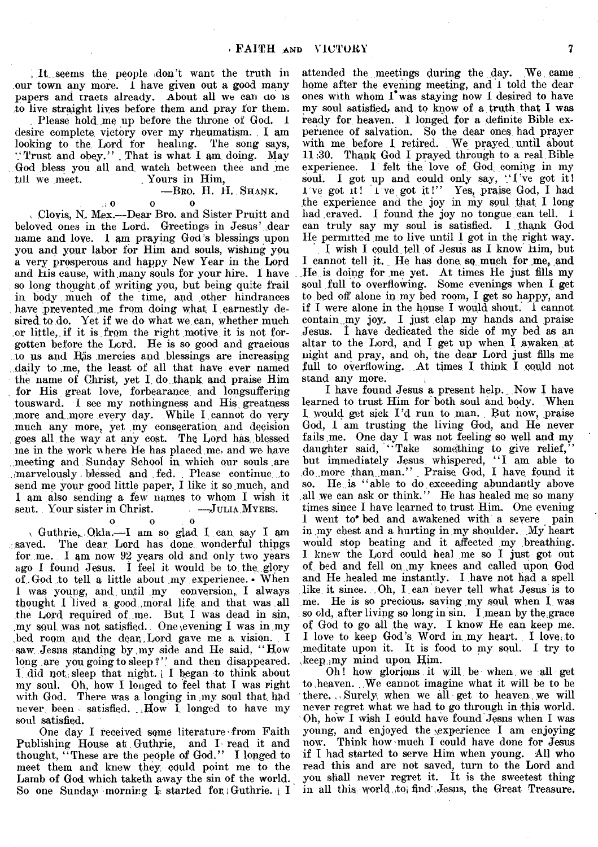**, It. seems the people (don't want the truth in our town any more, i have given out a good many papers and tracts already. About all we can ao is to live straight lives before them arid pray for them.**

Please hold me up before the throne of God. 1 desire complete victory over my rheumatism. I am looking to the Lord for healing. The song says, " Trust and obey. ' ' . That is what I am doing. May God bless you all and watch between thee and me till we meet. Yours in Him. Yours in Him,

## **— B ro.** H. H. **Sh a n k ,**

 $\cup$  0 0 0 v Clovis, N. Mex.— Dear Bro. and Sister Pruitt and beloved ones in the Lord. Greetings in Jesus' dear name and love. 1 am praying God's blessings upon you and your labor for Him and souls, wishing you a very prosperous and happy New Year in the Lord and His cause, with many souls for your hire. I have so long thought of writing you, but being quite frail in body much of the time, and other hindrances have prevented me from doing what I earnestly desired to do. Yet if we do what we can, whether much or little, if it is from the right motive it is not forgotten before the Lord. He is so good and gracious to us and Hiis .mercies and blessings are increasing ..daily to .me, the least of all that have ever named the name of Christ, yet I. do thank and praise Him for His great love, forbearance, and longsuffering tousward. I see my nothingness and His greatness more and more every day. While I cannot do very much any more, yet my consecration and decision goes all the way at any cost. The Lord has blessed me in the work where He has placed me, and we have meeting and Sunday School in which our souls are ..marvelously. blessed and fed. . Please continue to send me your good little paper, I like it so much, and 1 am also sending a few names to whom I wish it sent. Your sister in Christ.

 $\begin{array}{ccc} 0 & 0 & 0 \end{array}$ 

v Guthrie,,. Qkla.— I am so glad. X can say I am . saved. The dear Lord has done, wonderful things for me. I am now 92 years old and only two years ago I found Jesus. I feel it would be to the glory of God to tell a little about my experience. • When I was young, and. until my conversion,. I always thought I lived a good .moral life and that was all the Lord required of me. But I was dead in sin, .my soul was not satisfied. One evening I was in my Led room and the dear,Lord gave me a vision. . I saw Jesus standing by my side and He said, "How long are you going to sleep ?" and then disappeared. I did not sleep that night. I began to think about my soul. Oh, hour I longed to feel that I was right with God. There was a longing in my soul that had never been satisfied. How  $\overline{I}$  longed to have my soul satisfied.

One day I received some literature-from Faith Publishing House at Guthrie, and I read it and thought, " These are the people of God." I longed to meet them and knew they could point me to the Lamb of God which taketh away the sin of the world. So one Sunday morning  $I<sub>s</sub>$  started for; Guthrie.  $I<sub>s</sub>$  I

attended the meetings during the day. We came home after the evening meeting, and 1 told the dear ones with whom  $I^{\bullet}$  was staying now I desired to have my soul satisfied, and to know of a truth that I was ready for heaven. I longed for a definite Bible experience of salvation. So the dear ones had prayer with me before 1 retired. We prayed until about 11:30. Thank God I prayed through to a real Bible experience. I felt the love of God coming in my soul. I got up and could only say, "I've got it! I've got it! I've got it!" Yes, praise God, I had the experience and the joy in my soul that I long had craved. I found the joy no tongue can tell.  $\bar{1}$ can truly say my soul is satisfied. I thank God lie permitted me to live until I got in the right way.

I wish I could, tell of Jesus as I know Him, but I cannot tell it. He has done so much for me, and He is doing for me yet. At times He just fills my soul full to overflowing. Some evenings when I get to bed off alone in my bed room, I get so happy, and if I were alone in the house I would shout, i cannot contain my joy. I just clap my hands and praise Jesus. I have dedicated the side of my bed as an altar to the Lord, and I get up when I awaken at night and pray, and oh, the dear Lord just fills me full to overflowing. At times I think I could not stand any more.

I have found Jesus a present help.. Now I have learned to trust Him for both soul and body. When I would get sick I'd run to man. But now, praise God, I am trusting the living God, and He never fails me. One day I was not feeling so well and my daughter said, "Take something to give relief," but immediately Jesus whispered, "I am able to do more than man." Praise God, I have found it so. He is "able to do exceeding abundantly above all we can ask or think." He has healed me so many times since I have learned to trust Him. One evening 1 went to\* bed and awakened with a severe pain in my chest and a hurting in my shoulder.. My heart would stop beating and it affected my breathing. I knew the Lord could heal me so I just got out of bed and fell on my knees and called upon God and He healed me instantly. I have not had a spell like it since. Oh, I.ean never tell what Jesus is to me. He is so precious, saving my soul when I was so old, after living so long in sin. I mean by the grace of God to go all the way. I know He can keep me. I love to keep God's Word in my heart. I love to meditate upon it. It is food to my soul. I try to ,keep.imy mind upon Him.

Oh! how glorious it will be when we all get to heaven. We cannot imagine what it will be to be 1 there. ,, Surely, when we all get to heaven. we will never regret what we had to go through in this world. Oh, how I wish I could have found Jesus when I was young, and enjoyed the \experience I am enjoying now. Think how much I could have done for Jesus if I had started to serve Him when young. All who read this and are not saved, turn to the Lord and you shall never regret it. It is the sweetest thing in all this world to find Jesus, the Great Treasure.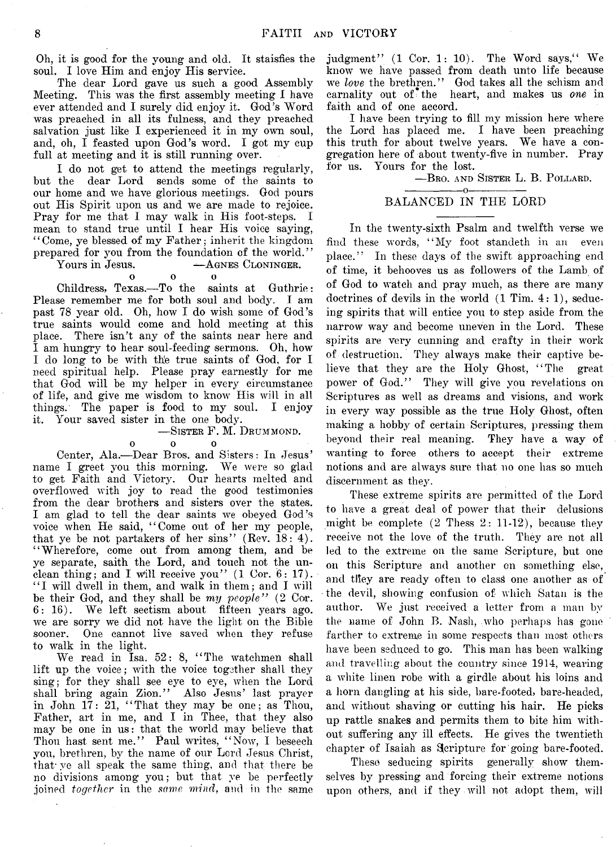Oh, it is good for the young and old. It staisfies the soul. I love Him and enjoy His service.

The dear Lord gave us such a good Assembly Meeting. This was the first assembly meeting I have ever attended and I surely did enjoy it. God's Word was preached in all its fulness, and they preached salvation just like I experienced it in my own soul, and, oh, I feasted upon God's word. I got my cup full at meeting and it is still running over.

I do not get to attend the meetings regularly, but the dear Lord sends some of the saints to our home and we have glorious meetings. God pours out His Spirit upon us and we are made to rejoice. Pray for me that I may walk in His foot-steps. I mean to stand true until I hear His voice saying, 44Come, ye blessed of my Father; inherit the kingdom prepared for you from the foundation of the world."  $-A$  GNES CLONINGER.

#### o o o

Childress, Texas.— To the saints at Guthrie: Please remember me for both soul and body. I am past 78 year old. Oh, how I do wish some of God's true saints would come and hold meeting at this place. There isn't any of the saints near here and I am hungry to hear soul-feeding sermons. Oh, how I do long to be with the true saints of God, for I need spiritual help. Please pray earnestly for me that God will be my helper in every circumstance of life, and give me wisdom to know His will in all things. The paper is food to my soul. I enjoy it. Your saved sister in the one body.

## **— Sister** F. M. **D rummond.**

 $\Omega$ 

o o o Center, Ala.— Dear Bros, and Sisters: In Jesus' name I greet you this morning. We were so glad to get Faith and Victory. Our hearts melted and overflowed with joy to read the good testimonies from the dear brothers and sisters over the states. I am glad to tell the dear saints we obeyed God's voice when He said, " Come out of her my people, that ye be not partakers of her sins"  $(Rev. 18: 4)$ . " Wherefore, come out from among them, and be ye separate, saith the Lord, and touch not the unclean thing; and I will receive you" (1 Cor. 6: 17). "I will dwell in them, and walk in them; and I will be their God, and they shall be *my people"* (2 Cor. 6: 16). We left sectism about fifteen years ago. we are sorry we did not have the light on the Bible sooner. One cannot live saved when they refuse to walk in the light.

We read in Isa. 52: 8, " The watchmen shall lift up the voice; with the voice together shall they sing; for they shall see eye to eye, when the Lord shall bring again Zion." Also Jesus' last prayer in John  $17: 21$ , "That they may be one; as Thou, Father, art in me, and I in Thee, that they also may be one in us: that the world may believe that Thou hast sent me." Paul writes, " Now, I beseech you, brethren, by the name of our Lord Jesus Christ, that ye all speak the same thing, and that there be no divisions among you; but that ye be perfectly joined *together* in the *same mind,* and in the same judgment"  $(1 \text{ Cor. } 1: 10)$ . The Word says," We know we have passed from death unto life because we *love* the brethren." God takes all the schism and carnality out of\* the heart, and makes us *one* in faith and of one accord.

I have been trying to fill my mission here where the Lord has placed me. I have been preaching this truth for about twelve years. We have a congregation here of about twenty-five in number. Pray for us. Yours for the lost.

— Bro. **and Sister** L. B. **Pollard.**

#### ---------------- o----------------- BALANCED IN THE LORD

In the twenty-sixth Psalm and twelfth verse we find these words, " My foot standeth in an even place." In these days of the swift approaching end of time, it behooves us as followers of the Lamb of of God to watch and pray much, as there are many doctrines of devils in the world (1 Tim. 4 : 1), seducing spirits that will entice you to step aside from the narrow way and become uneven in the Lord. These spirits are very cunning and crafty in their work of destruction. They always make their captive believe that they are the Holy Ghost, "The great power of God." They will give you revelations on Scriptures as well as dreams and visions, and work in every way possible as the true Holy Ghost, often making a hobby of certain Scriptures, pressing them beyond their real meaning. They have a way of wanting to force others to accept their extreme notions and are always sure that no one has so much discernment as they.

These extreme spirits are permitted of the Lord to have a great deal of power that their delusions might be complete  $(2 \text{ Thesis } 2: 11-12)$ , because they receive not the love of the truth. They are not all led to the extreme on the same Scripture, but one on this Scripture and another on something else, and tliev are ready often to class one another as of • the devil, showing confusion of which Satan is the author. We just received a letter from a man by the name of John B. Nash, who perhaps has gone farther to extreme in some respects than most others have been seduced to go. This man has been walking and travelling about the country since 1914, wearing a white linen robe with a girdle about his loins and a horn dangling at his side, bare-footed, bare-headed, and without shaving or cutting his hair. He picks up rattle snakes and permits them to bite him without suffering any ill effects. He gives the twentieth chapter of Isaiah as Scripture for going bare-footed.

These seducing spirits generally show themselves by pressing and forcing their extreme notions upon others, and if they will not adopt them, will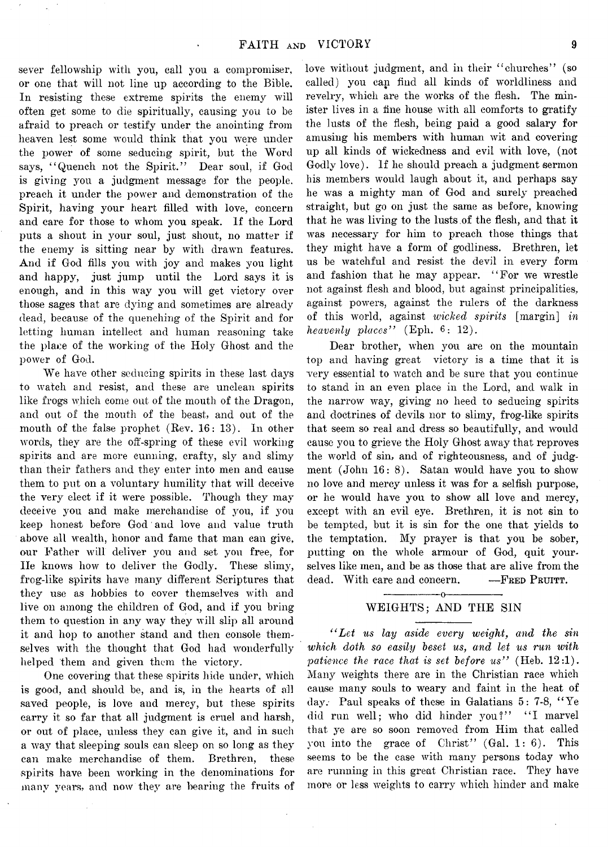sever fellowship with you, call you a compromiser, or one that will not line up according to the Bible. In resisting these extreme spirits the enemy will often get some to die spiritually, causing you to be afraid to preach or testify under the anointing from heaven lest some would think that you were under the power of some seducing spirit, but the Word says, "Quench not the Spirit." Dear soul, if God is giving you a judgment message for the people, preach it under the power and demonstration of the Spirit, having your heart filled with love, concern and care for those to whom you speak. If the Lord puts a shout in your soul, just shout, no matter if the enemy is sitting near by with drawn features. And if God fills you with joy and makes you light and happy, just jump until the Lord says it is enough, and in this way you will get victory over those sages that are dying and sometimes are already dead, because of the quenching of the Spirit and for letting human intellect and human reasoning take the plane of the working of the Holy Ghost and the power of God.

We have other seducing spirits in these last days to watch and resist, and these are unclean spirits like frogs which come out of the mouth of the Dragon, and out of the mouth of the beast, and out of the mouth of the false prophet (Rev. 16: 13). In other words, they are the off-spring of these evil working spirits and are more cunning, crafty, sly and slimy than their fathers and they enter into men and cause them to put on a voluntary humility that will deceive the very elect if it were possible. Though they may deceive you and make merchandise of you, if you keep honest before God and love and value truth above all wealth, honor and fame that man can give, our Father will deliver you and set you free, for He knows how to deliver the Godly. These slimy, frog-like spirits have many different Scriptures that they use as hobbies to cover themselves with and live on among the children of God, and if you bring them to question in any way they will slip all around it and hop to another stand and then console themselves with the thought that God had wonderfully helped them and given them the victory.

One covering that these spirits hide under, which is good, and should be, and is, in the hearts of all saved people, is love and mercy, but these spirits carry it so far that all judgment is cruel and harsh, or out of place, unless they can give it, and in such a way that sleeping souls can sleep on so long as they can make merchandise of them. Brethren, these spirits have been working in the denominations for many years, and now they are bearing the fruits of

love without judgment, and in their "churches" (so called) you can find all kinds of worldliness and revelry, which are the works of the flesh. The minister lives in a fine house with all comforts to gratify the lusts of the flesh, being paid a good salary for amusing his members with human wit and covering up all kinds of wickedness and evil with love, (not Godly love). If he should preach a judgment sermon his members would laugh about it, and perhaps say he was a mighty man of God and surely preached straight, but go on just the same as before, knowing that he was living to the lusts of the flesh, and that it was necessary for him to preach those things that they might have a form of godliness. Brethren, let us be watchful and resist the devil in every form and fashion that he may appear. " For we wrestle not against flesh and blood, but against principalities, against powers, against the rulers of the darkness of this world, against *wicked spirits* [margin] *in heavenly places''* (Eph. 6: 12).

Dear brother, when you are on the mountain top and having great victory is a time that it is very essential to watch and be sure that you continue to stand in an even place in the Lord, and walk in the narrow way, giving no heed to seducing spirits and doctrines of devils nor to slimy, frog-like spirits that seem so real and dress so beautifully, and would cause you to grieve the Holy Ghost away that reproves the world of sin, and of righteousness, and of judgment (John 16: 8). Satan would have you to show no love and mercy unless it was for a selfish purpose, or he would have you to show all love and mercy, except with an evil eye. Brethren, it is not sin to be tempted, but it is sin for the one that yields to the temptation. My prayer is that you be sober, putting on the whole armour of God, quit yourselves like men, and be as those that are alive from the dead. With care and concern. — FRED PRUITT.

# ---------------- o---------------- WEIGHTS; AND THE SIN

*" Let us lay aside every weight, and the sin* which doth so easily beset us, and let us run with *patience the race that is set before us"* (Heb. 12:1). Many weights there are in the Christian race which cause many souls to weary and faint in the heat of day/ Paul speaks of these in Galatians 5: 7-8, " Ye did run well; who did hinder you?" "I marvel that ye are so soon removed from Him that called you into the grace of Christ" (Gal. 1: 6). This seems to be the case with many persons today who are running in this great Christian race. They have more or less weights to carry which hinder and make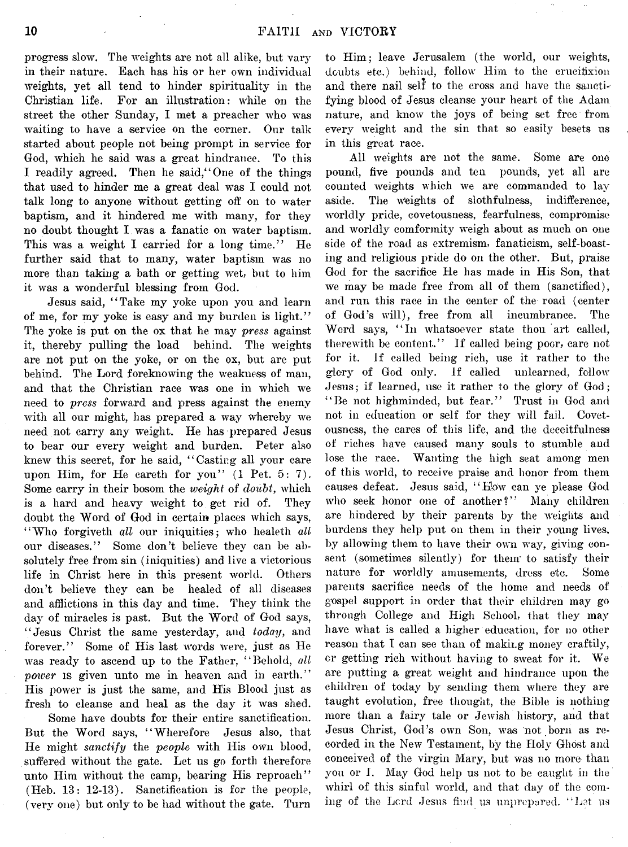progress slow. The weights are not all alike, but vary in their nature. Each has his or her own individual weights, yet all tend to hinder spirituality in the Christian life. For an illustration: while on the street the other Sunday, I met a preacher who was waiting to have a service on the corner. Our talk started about people not being prompt in service for God, which he said was a great hindrance. To this I readily agreed. Then he said," One of the things that used to hinder me a great deal was I could not talk long to anyone without getting off on to water baptism, and it hindered me with many, for they no doubt thought I was a fanatic on water baptism. This was a weight I carried for a long time." He further said that to many, water baptism was no more than taking a bath or getting wet, but to him it was a wonderful blessing from God.

Jesus said, " Take my yoke upon you and learn of me, for my yoke is easy and my burden is light." The yoke is put on the ox that he may *press* against it, thereby pulling the load behind. The weights are not put on the yoke, or on the ox, but are put behind. The Lord foreknowing the weakness of man, and that the Christian race was one in which we need to *press* forward and press against the enemy with all our might, has prepared a way whereby we need not carry any weight. He has prepared Jesus to bear our every weight and burden. Peter also knew this secret, for he said, "Casting all your care upon Him, for He careth for you" (1 Pet. 5: 7). Some carry in their bosom the *weight* of *doubt*, which is a hard and heavy weight to get rid of. They doubt the Word of God in certain places which says, "Who forgiveth all our iniquities; who healeth all our diseases." Some don't believe they can be absolutely free from sin (iniquities) and live a victorious life in Christ here in this present world. Others don't believe they can be healed of all diseases and afflictions in this day and time. They think the day of miracles is past. But the Word of God says, "Jesus Christ the same yesterday, and *today,* and forever." Some of His last words were, just as He was ready to ascend up to the Father, "Behold, *all* power is given unto me in heaven and in earth." His power is just the same, and His Blood just as fresh to cleanse and heal as the day it was shed.

Some have doubts for their entire sanctification. But the Word says, "Wherefore Jesus also, that He might *sanctify* the *people* with His own blood, suffered without the gate. Let us go forth therefore unto Him without the camp, bearing His reproach" (Heb. 13: 12-13). Sanctification is for the people, (very one) but only to be had without the gate. Turn

to Him; leave Jerusalem (the world, our weights, doubts etc.) behind, follow Him to the crucifixion and there nail self to the cross and have the sanctifying blood of Jesus cleanse your heart of the Adam nature, and know the joys of being set free from every weight and the sin that so easily besets us in this great race.

All weights are not the same. Some are one pound, five pounds and ten pounds, yet all are counted weights which we are commanded to lay aside. The Weights of slothfulness, indifference, worldly pride, covetousness, fearfulness, compromise and worldly comformity weigh about as much on one side of the road as extremism, fanaticism, self-boasting and religious pride do on the other. But, praise God for the sacrifice He has made in His Son, that we may be made free from all of them (sanctified), and run this race in the center of the road (center of God's will), free from all incumbrance. The Word says, "In whatsoever state thou art called, therewith be content." If called being poor, care not for it. if called being rich, use it rather to the glory of God only. If called unlearned, follow Jesus; if learned, use it rather to the glory of God; "Be not highminded, but fear." Trust in God and not in education or self for they will fail. Covetousness, the cares of this life, and the deceitfulness of riches have caused many souls to stumble and lose the race. Wanting the high seat among men of this world, to receive praise and honor from them causes defeat. Jesus said, "How can ye please God who seek honor one of another?" Many children are hindered by their parents by the weights and burdens they help put on them in their young lives, by allowing them to have their own way, giving consent (sometimes silently) for them to satisfy their nature for worldly amusements, dress etc. Some parents sacrifice needs of the home and needs of gospel support in order that their children may go through College and High School, that they may have what is called a higher education, for no other reason that I can see than of making money craftily, or getting rich without having to sweat for it. We are putting a great weight and hindrance upon the children of today by sending them where they are taught evolution, free thought, the Bible is nothing more than a fairy tale or Jewish history, and that Jesus Christ, God's own Son, was not born as recorded in the New Testament, by the Holy Ghost and conceived of the virgin Mary, but was no more than you or I. May God help us not to be caught in the whirl of this sinful world, and that day of the coming of the Lord Jesus find us unprepared. "Let us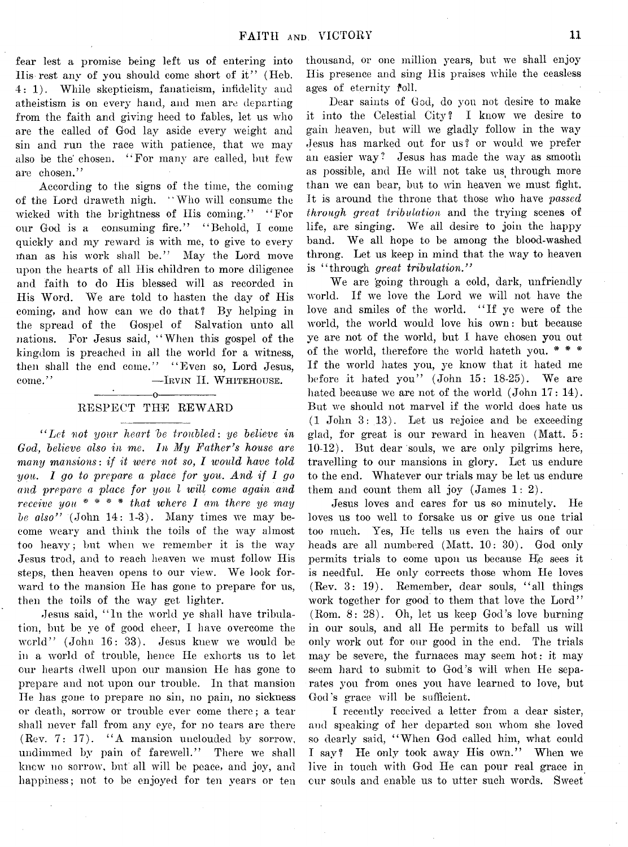fear lest a promise being left ns of entering into His rest any of you should come short of it" (Heb. 4: 1). While skepticism, fanaticism, infidelity and atheistism is on every hand, and men are departing from the faith and giving heed to fables, let us who are the called of God lay aside every weight and sin and run the race with patience, that we may also be the chosen. "For many are called, but few are chosen."

According to the signs of the time, the coming of the Lord draweth nigh.  $\lq$ Who will consume the wicked with the brightness of His coming." "For our God is a consuming fire." " Behold, I come quickly and my reward is with me, to give to every man as his work shall be." May the Lord move upon the hearts of all His children to more diligence and faith to do His blessed will as recorded in His Word. We are told to hasten the day of His coming, and how can we do that? By helping in the spread of the Gospel of Salvation unto all nations. For Jesus said, " When this gospel of the kingdom is preached in all the world for a witness, then shall the end come." "Even so, Lord Jesus, come." — **Irvin** II. **W hitehouse.**

## $\begin{array}{c} \begin{array}{c} \begin{array}{c} \text{\textcolor{blue}{\large \textbf{\textcolor{blue}{\large \textbf{\textcolor{blue}{\large \textbf{\textcolor{blue}{\large \textbf{\textcolor{blue}{\large \textbf{\textcolor{blue}{\large \textbf{\textcolor{blue}{\large \textbf{\textcolor{blue}{\large \textbf{\textcolor{blue}{\large \textbf{\textcolor{blue}{\large \textbf{\textcolor{blue}{\large \textbf{\textcolor{blue}{\large \textbf{\color{blue}{\large \textbf{\color{blue}{\large \textbf{ \color{blue}{\large \textbf{ \color{blue}{\bf\color{blue}{\bf\textcolor{blue}{\bf\color{blue}{\bf\color{blue$ RESPECT THE REWARD

*" Let not your heart 'be troubled: ye believe in God, believe also in me. In My Father's house are many mansions*: *if it were not so, I ivould have told you. I go to prepare a place for you. And if 1 go* and prepare a place for you *l* will come again and *receive you* \* *\** \* # *that where I ami there ye may be also*" (John 14: 1-3). Many times we may become weary and think the toils of the way almost too heavy; but when we remember it is the way Jesus trod, and to reach heaven we must follow His steps, then heaven opens to our view. We look forward to the mansion He has gone to prepare for us, then the toils of the way get lighter.

Jesus said, " In the world ye shall have tribulation, but be ye of good cheer, I have overcome the world" (John 16: 33). Jesus knew we would be in a world of trouble, hence He exhorts us to let our hearts dwell upon our mansion He has gone to prepare and not upon our trouble. In that mansion He has gone to prepare no sin, no pain, no sickness or death, sorrow or trouble ever come there; a tear shall never fall from any eye, for no tears are there (Rev. 7: 17). "A mansion unclouded by sorrow, undimmed by pain of farewell." There we shall knew no sorrow, but all will be peace, and joy, and happiness; not to be enjoyed for ten years or ten

thousand, or one million years, but we shall enjoy His presence and sing His praises while the ceasless ages of eternity foll.

Dear saints of God, do you not desire to make it into the Celestial City? I know we desire to gain heaven, but will we gladly follow in the way Jesus has marked out for us? or would we prefer an easier way? Jesus has made the way as smooth as possible, and He will not take us^ through more than we can bear, but to win heaven we must fight. It is around the throne that those who have *passed through great tribulation* and the trying scenes of life, are singing. We all desire to join the happy band. We all hope to be among the blood-washed throng. Let us keep in mind that the way to heaven is " through *great tribulation*."

We are 'going through a cold, dark, unfriendly world. If we love the Lord we will not have the love and smiles of the world. " If ye were of the world, the world would love his own: but because ye are not of the world, but I have chosen you out of the world, therefore the world hateth you. \* \* \* If the world hates you, ye know that it hated me before it hated you" (John 15: 18-25). We are hated because we are not of the world (John 17: 14). But we should not marvel if the world does hate us (1 John 3: 13). Let us rejoice and be exceeding glad, for great is our reward in heaven (Matt. 5: 10-12). But dear souls, we are only pilgrims here, travelling to our mansions in glory. Let us endure to the end. Whatever our trials may be let us endure them and count them all joy (James 1: 2).

Jesus loves and cares for us so minutely. He loves us too well to forsake us or give us one trial too much. Yes, He tells us even the hairs of our heads are all numbered (Matt. 10: 30). God only permits trials to come upon us because He sees it is needful. He only corrects those whom He loves (Rev. 3: 19). Remember, dear souls, " all things work together for good to them that love the Lord" (Rom. 8: 28). Oh, let us keep God's love burning in our souls, and all He permits to befall us will only work out for our good in the end. The trials may be severe, the furnaces may seem hot: it may seem hard to submit to God's will when He separates you from ones you have learned to love, but God's grace will be sufficient.

I recently received a letter from a dear sister, and speaking of her departed son whom she loved so dearly said, " When God called him, what could I say? He only took away His own." When we live in touch with God He can pour real grace in our souls and enable us to utter such words. Sweet